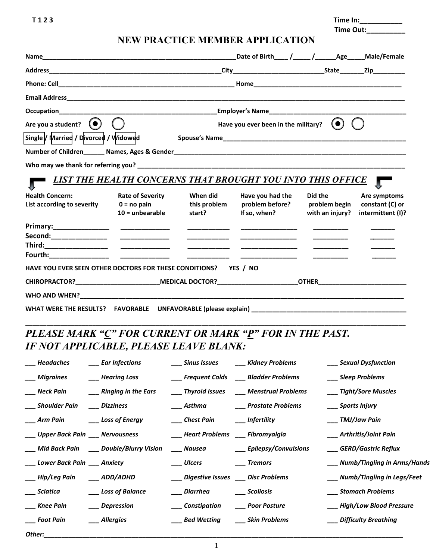**T 1 2 3 Time In:\_\_\_\_\_\_\_\_\_\_\_ Time Out:\_\_\_\_\_\_\_\_\_\_**

## **NEW PRACTICE MEMBER APPLICATION**

|                                                                 |                                                               |                                                                                                                      | Date of Birth / / Age Male/Female                   |                                             |                                                      |  |  |
|-----------------------------------------------------------------|---------------------------------------------------------------|----------------------------------------------------------------------------------------------------------------------|-----------------------------------------------------|---------------------------------------------|------------------------------------------------------|--|--|
|                                                                 |                                                               |                                                                                                                      |                                                     |                                             |                                                      |  |  |
|                                                                 |                                                               |                                                                                                                      |                                                     |                                             |                                                      |  |  |
|                                                                 |                                                               |                                                                                                                      |                                                     |                                             |                                                      |  |  |
|                                                                 |                                                               |                                                                                                                      |                                                     |                                             |                                                      |  |  |
| Are you a student? $($ $\bullet)$                               | $( \bullet )$<br>Have you ever been in the military?          |                                                                                                                      |                                                     |                                             |                                                      |  |  |
| Single / Married / Divorced / Widowed                           |                                                               |                                                                                                                      |                                                     |                                             |                                                      |  |  |
|                                                                 |                                                               |                                                                                                                      |                                                     |                                             |                                                      |  |  |
|                                                                 |                                                               |                                                                                                                      |                                                     |                                             |                                                      |  |  |
|                                                                 | LIST THE HEALTH CONCERNS THAT BROUGHT YOU INTO THIS OFFICE    |                                                                                                                      |                                                     |                                             |                                                      |  |  |
| <b>Health Concern:</b><br>List according to severity            | <b>Rate of Severity</b><br>$0 = no$ pain<br>$10 =$ unbearable | When did<br>this problem<br>start?                                                                                   | Have you had the<br>problem before?<br>If so, when? | Did the<br>problem begin<br>with an injury? | Are symptoms<br>constant (C) or<br>intermittent (I)? |  |  |
|                                                                 |                                                               | _____________                                                                                                        | _____________________                               |                                             |                                                      |  |  |
|                                                                 |                                                               | <u> 2000 - 2000 - 2000 - 2000 - 2000 - 2000 - 2000 - 2000 - 2000 - 2000 - 2000 - 2000 - 2000 - 2000 - 2000 - 200</u> | <u> 1980 - John Harrison, mars et al.</u>           |                                             |                                                      |  |  |
|                                                                 |                                                               |                                                                                                                      |                                                     |                                             |                                                      |  |  |
| HAVE YOU EVER SEEN OTHER DOCTORS FOR THESE CONDITIONS? YES / NO |                                                               |                                                                                                                      |                                                     |                                             |                                                      |  |  |
| CHIROPRACTOR? MEDICAL DOCTOR? OTHER OTHER CHIROPRACTOR?         |                                                               |                                                                                                                      |                                                     |                                             |                                                      |  |  |
|                                                                 |                                                               |                                                                                                                      |                                                     |                                             |                                                      |  |  |
|                                                                 |                                                               |                                                                                                                      |                                                     |                                             |                                                      |  |  |
| DI E A SE MADK "C" FOD CHDDENT OD MADK "D" FOD IN THE DAST      |                                                               |                                                                                                                      |                                                     |                                             |                                                      |  |  |

## *PLEASE MARK "C" FOR CURRENT OR MARK "P" FOR IN THE PAST. IF NOT APPLICABLE, PLEASE LEAVE BLANK:*

| $\rule{1em}{0.15mm} \fbox{Headaches}$ | $\_\_$ Ear Infections                       |                                        | ___ Sinus Issues ____ Kidney Problems     | ___ Sexual Dysfunction          |
|---------------------------------------|---------------------------------------------|----------------------------------------|-------------------------------------------|---------------------------------|
| ___ Migraines    ___ Hearing Loss     |                                             |                                        | __ Frequent Colds __ Bladder Problems     | ___ Sleep Problems              |
| ____ Neck Pain                        | ___ Ringing in the Ears                     |                                        | ___ Thyroid Issues ___ Menstrual Problems | ___ Tight/Sore Muscles          |
|                                       |                                             | ___ Asthma                             | ___ Prostate Problems                     | ____ Sports Injury              |
| ___ Arm Pain     ___ Loss of Energy   |                                             | ___ Chest Pain ____ Infertility        |                                           | ____ TMJ/Jaw Pain               |
| ___ Upper Back Pain ___ Nervousness   |                                             | ___ Heart Problems ___ Fibromyalgia    |                                           | ___ Arthritis/Joint Pain        |
|                                       | ___ Mid Back Pain ____ Double/Blurry Vision | ___ Nausea                             | ___ Epilepsy/Convulsions                  | GERD/Gastric Reflux             |
| ___ Lower Back Pain ___ Anxiety       |                                             |                                        | ___ Tremors                               | ___ Numb/Tingling in Arms/Hands |
| ___ Hip/Leg Pain   ___ ADD/ADHD       |                                             | ___ Digestive Issues ___ Disc Problems |                                           | ___ Numb/Tingling in Legs/Feet  |
| ___ Sciatica                          | ___ Loss of Balance                         | Diarrhea                               | ___ Scoliosis                             | ___ Stomach Problems            |
| ___ Knee Pain                         | ___ Depression                              | ___ Constipation ____ Poor Posture     |                                           | ___ High/Low Blood Pressure     |
| ___ Foot Pain                         | ___ Allergies                               | ___ Bed Wetting ____ Skin Problems     |                                           | ___ Difficulty Breathing        |
| Other: $\_\_$                         |                                             |                                        |                                           |                                 |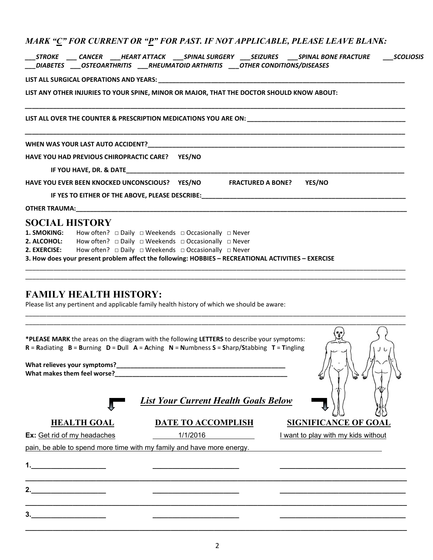| __STROKE ____ CANCER ____HEART ATTACK ____SPINAL SURGERY ____SEIZURES  ___SPINAL BONE FRACTURE  ____SCOLIOSIS<br>___DIABETES ____OSTEOARTHRITIS ____RHEUMATOID ARTHRITIS ____OTHER CONDITIONS/DISEASES |  |  |  |  |  |  |  |
|--------------------------------------------------------------------------------------------------------------------------------------------------------------------------------------------------------|--|--|--|--|--|--|--|
|                                                                                                                                                                                                        |  |  |  |  |  |  |  |
| LIST ANY OTHER INJURIES TO YOUR SPINE, MINOR OR MAJOR, THAT THE DOCTOR SHOULD KNOW ABOUT:                                                                                                              |  |  |  |  |  |  |  |
|                                                                                                                                                                                                        |  |  |  |  |  |  |  |
|                                                                                                                                                                                                        |  |  |  |  |  |  |  |
| HAVE YOU HAD PREVIOUS CHIROPRACTIC CARE? YES/NO                                                                                                                                                        |  |  |  |  |  |  |  |
|                                                                                                                                                                                                        |  |  |  |  |  |  |  |
| HAVE YOU EVER BEEN KNOCKED UNCONSCIOUS? YES/NO FRACTURED A BONE? YES/NO                                                                                                                                |  |  |  |  |  |  |  |
|                                                                                                                                                                                                        |  |  |  |  |  |  |  |
|                                                                                                                                                                                                        |  |  |  |  |  |  |  |
| <b>SOCIAL HISTORY</b>                                                                                                                                                                                  |  |  |  |  |  |  |  |
| <b>1. SMOKING:</b> How often? □ Daily □ Weekends □ Occasionally □ Never                                                                                                                                |  |  |  |  |  |  |  |
| <b>2. ALCOHOL:</b> How often? $\Box$ Daily $\Box$ Weekends $\Box$ Occasionally $\Box$ Never                                                                                                            |  |  |  |  |  |  |  |
| <b>2. EXERCISE:</b> How often? $\Box$ Daily $\Box$ Weekends $\Box$ Occasionally $\Box$ Never                                                                                                           |  |  |  |  |  |  |  |
| 3. How does your present problem affect the following: HOBBIES - RECREATIONAL ACTIVITIES - EXERCISE                                                                                                    |  |  |  |  |  |  |  |
|                                                                                                                                                                                                        |  |  |  |  |  |  |  |

## **FAMILY HEALTH HISTORY:**

Please list any pertinent and applicable family health history of which we should be aware:

|                                     | *PLEASE MARK the areas on the diagram with the following LETTERS to describe your symptoms:<br>$R =$ Radiating $B =$ Burning $D =$ Dull $A =$ Aching $N =$ Numbness $S =$ Sharp/Stabbing $T =$ Tingling | ◡                                   |
|-------------------------------------|---------------------------------------------------------------------------------------------------------------------------------------------------------------------------------------------------------|-------------------------------------|
|                                     |                                                                                                                                                                                                         |                                     |
|                                     | <b>List Your Current Health Goals Below</b>                                                                                                                                                             |                                     |
| <b>HEALTH GOAL</b>                  | <b>DATE TO ACCOMPLISH</b>                                                                                                                                                                               | <b>SIGNIFICANCE OF GOAL</b>         |
| Ex: Get rid of my headaches         | 1/1/2016                                                                                                                                                                                                | I want to play with my kids without |
|                                     | pain, be able to spend more time with my family and have more energy.                                                                                                                                   |                                     |
| <u> 1980 - Jan Barbarat, manala</u> |                                                                                                                                                                                                         |                                     |
|                                     |                                                                                                                                                                                                         |                                     |
| 2. $\qquad \qquad$                  |                                                                                                                                                                                                         |                                     |
|                                     |                                                                                                                                                                                                         |                                     |
|                                     |                                                                                                                                                                                                         |                                     |
|                                     |                                                                                                                                                                                                         |                                     |

\_\_\_\_\_\_\_\_\_\_\_\_\_\_\_\_\_\_\_\_\_\_\_\_\_\_\_\_\_\_\_\_\_\_\_\_\_\_\_\_\_\_\_\_\_\_\_\_\_\_\_\_\_\_\_\_\_\_\_\_\_\_\_\_\_\_\_\_\_\_\_\_\_\_\_\_\_\_\_\_\_\_\_\_\_\_\_\_\_\_\_\_\_\_\_\_\_\_\_\_\_\_\_\_\_\_\_\_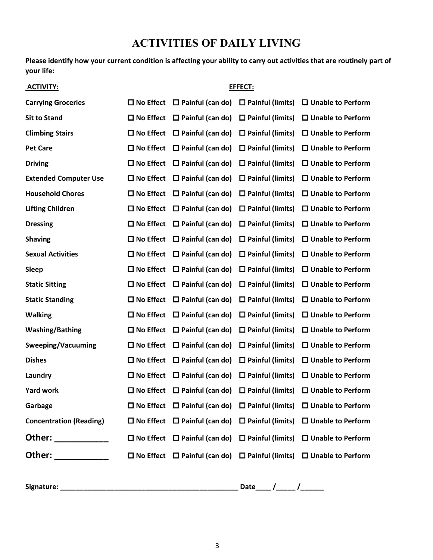# **ACTIVITIES OF DAILY LIVING**

**Please identify how your current condition is affecting your ability to carry out activities that are routinely part of your life:**

| <b>ACTIVITY:</b>                                                                                                                                                                                                              | EFFECT:             |                                                                  |                            |                             |  |
|-------------------------------------------------------------------------------------------------------------------------------------------------------------------------------------------------------------------------------|---------------------|------------------------------------------------------------------|----------------------------|-----------------------------|--|
| <b>Carrying Groceries</b>                                                                                                                                                                                                     | $\square$ No Effect | $\Box$ Painful (can do)                                          | $\Box$ Painful (limits)    | $\Box$ Unable to Perform    |  |
| <b>Sit to Stand</b>                                                                                                                                                                                                           | $\square$ No Effect | $\Box$ Painful (can do)                                          | $\square$ Painful (limits) | □ Unable to Perform         |  |
| <b>Climbing Stairs</b>                                                                                                                                                                                                        | $\Box$ No Effect    | $\Box$ Painful (can do)                                          | $\square$ Painful (limits) | $\square$ Unable to Perform |  |
| <b>Pet Care</b>                                                                                                                                                                                                               | $\square$ No Effect | $\Box$ Painful (can do)                                          | $\square$ Painful (limits) | $\square$ Unable to Perform |  |
| <b>Driving</b>                                                                                                                                                                                                                | $\square$ No Effect | $\square$ Painful (can do)                                       | $\square$ Painful (limits) | $\square$ Unable to Perform |  |
| <b>Extended Computer Use</b>                                                                                                                                                                                                  | $\square$ No Effect | $\Box$ Painful (can do)                                          | $\square$ Painful (limits) | $\square$ Unable to Perform |  |
| <b>Household Chores</b>                                                                                                                                                                                                       | $\square$ No Effect | $\Box$ Painful (can do)                                          | $\square$ Painful (limits) | □ Unable to Perform         |  |
| <b>Lifting Children</b>                                                                                                                                                                                                       | $\square$ No Effect | $\Box$ Painful (can do)                                          | $\square$ Painful (limits) | $\Box$ Unable to Perform    |  |
| <b>Dressing</b>                                                                                                                                                                                                               | $\Box$ No Effect    | $\Box$ Painful (can do)                                          | $\square$ Painful (limits) | $\square$ Unable to Perform |  |
| <b>Shaving</b>                                                                                                                                                                                                                | $\square$ No Effect | $\Box$ Painful (can do)                                          | $\square$ Painful (limits) | $\Box$ Unable to Perform    |  |
| <b>Sexual Activities</b>                                                                                                                                                                                                      | $\square$ No Effect | $\Box$ Painful (can do)                                          | $\square$ Painful (limits) | $\square$ Unable to Perform |  |
| <b>Sleep</b>                                                                                                                                                                                                                  | $\square$ No Effect | $\Box$ Painful (can do)                                          | $\square$ Painful (limits) | $\square$ Unable to Perform |  |
| <b>Static Sitting</b>                                                                                                                                                                                                         | $\square$ No Effect | $\Box$ Painful (can do)                                          | $\square$ Painful (limits) | $\Box$ Unable to Perform    |  |
| <b>Static Standing</b>                                                                                                                                                                                                        | $\square$ No Effect | $\Box$ Painful (can do)                                          | $\square$ Painful (limits) | $\square$ Unable to Perform |  |
| <b>Walking</b>                                                                                                                                                                                                                | $\square$ No Effect | $\Box$ Painful (can do)                                          | $\square$ Painful (limits) | $\square$ Unable to Perform |  |
| <b>Washing/Bathing</b>                                                                                                                                                                                                        | $\square$ No Effect | $\square$ Painful (can do)                                       | $\square$ Painful (limits) | $\square$ Unable to Perform |  |
| <b>Sweeping/Vacuuming</b>                                                                                                                                                                                                     | $\Box$ No Effect    | $\Box$ Painful (can do)                                          | $\Box$ Painful (limits)    | $\Box$ Unable to Perform    |  |
| <b>Dishes</b>                                                                                                                                                                                                                 | $\square$ No Effect | $\Box$ Painful (can do)                                          | $\Box$ Painful (limits)    | $\square$ Unable to Perform |  |
| Laundry                                                                                                                                                                                                                       | $\square$ No Effect | $\Box$ Painful (can do)                                          | $\square$ Painful (limits) | $\square$ Unable to Perform |  |
| <b>Yard work</b>                                                                                                                                                                                                              | $\square$ No Effect | $\Box$ Painful (can do)                                          | $\Box$ Painful (limits)    | $\Box$ Unable to Perform    |  |
| Garbage                                                                                                                                                                                                                       | $\square$ No Effect | $\Box$ Painful (can do)                                          | $\square$ Painful (limits) | $\Box$ Unable to Perform    |  |
| <b>Concentration (Reading)</b>                                                                                                                                                                                                |                     | $\Box$ No Effect $\Box$ Painful (can do)                         | $\Box$ Painful (limits)    | $\square$ Unable to Perform |  |
| Other: _____________                                                                                                                                                                                                          |                     | $\Box$ No Effect $\Box$ Painful (can do)                         | $\Box$ Painful (limits)    | $\Box$ Unable to Perform    |  |
| Other: when the control of the control of the control of the control of the control of the control of the control of the control of the control of the control of the control of the control of the control of the control of |                     | $\Box$ No Effect $\Box$ Painful (can do) $\Box$ Painful (limits) |                            | $\Box$ Unable to Perform    |  |

**Signature: \_\_\_\_\_\_\_\_\_\_\_\_\_\_\_\_\_\_\_\_\_\_\_\_\_\_\_\_\_\_\_\_\_\_\_\_\_\_\_\_\_\_\_\_\_\_ Date\_\_\_\_ /\_\_\_\_\_ /\_\_\_\_\_\_**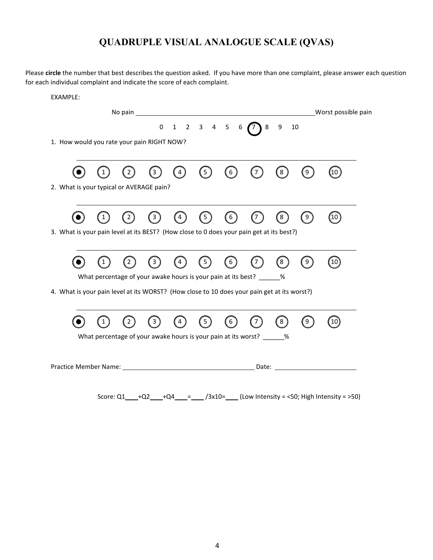# **QUADRUPLE VISUAL ANALOGUE SCALE (QVAS)**

Please **circle** the number that best describes the question asked. If you have more than one complaint, please answer each question for each individual complaint and indicate the score of each complaint.

#### EXAMPLE:

|                                                                                             | 3            | $\overline{4}$ | $\left(5\right)$ | (6)                | 〔7                                                                     | 【8】 | 9                | (10)               |
|---------------------------------------------------------------------------------------------|--------------|----------------|------------------|--------------------|------------------------------------------------------------------------|-----|------------------|--------------------|
| 2. What is your typical or AVERAGE pain?                                                    |              |                |                  |                    |                                                                        |     |                  |                    |
|                                                                                             | $\mathbf{3}$ |                | 5                | $\left[ 6 \right]$ |                                                                        | 8   | $\left[9\right]$ | $\left( 10\right)$ |
| 3. What is your pain level at its BEST? (How close to 0 does your pain get at its best?)    |              |                |                  |                    |                                                                        |     |                  |                    |
|                                                                                             | 3            |                | 5                | 6                  |                                                                        | 8   | 9                | (10)               |
| What percentage of your awake hours is your pain at its best? ______ %                      |              |                |                  |                    |                                                                        |     |                  |                    |
| 4. What is your pain level at its WORST? (How close to 10 does your pain get at its worst?) |              |                |                  |                    |                                                                        |     |                  |                    |
|                                                                                             | 3            |                | 5                | 6                  |                                                                        | 8   | 9                | 10 <sup>°</sup>    |
|                                                                                             |              |                |                  |                    | What percentage of your awake hours is your pain at its worst? ______% |     |                  |                    |

Score:  $Q1$  +Q2 +Q4 = /3x10= (Low Intensity = <50; High Intensity = >50)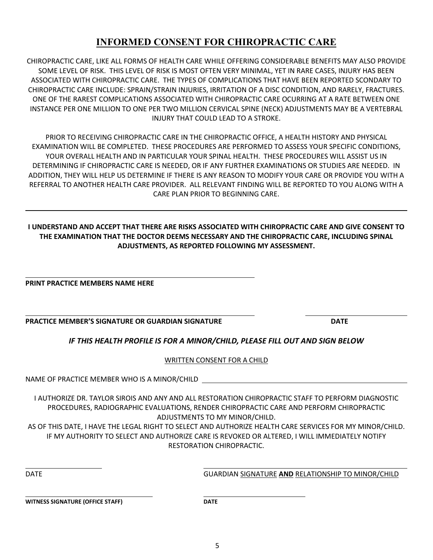## **INFORMED CONSENT FOR CHIROPRACTIC CARE**

CHIROPRACTIC CARE, LIKE ALL FORMS OF HEALTH CARE WHILE OFFERING CONSIDERABLE BENEFITS MAY ALSO PROVIDE SOME LEVEL OF RISK. THIS LEVEL OF RISK IS MOST OFTEN VERY MINIMAL, YET IN RARE CASES, INJURY HAS BEEN ASSOCIATED WITH CHIROPRACTIC CARE. THE TYPES OF COMPLICATIONS THAT HAVE BEEN REPORTED SCONDARY TO CHIROPRACTIC CARE INCLUDE: SPRAIN/STRAIN INJURIES, IRRITATION OF A DISC CONDITION, AND RARELY, FRACTURES. ONE OF THE RAREST COMPLICATIONS ASSOCIATED WITH CHIROPRACTIC CARE OCURRING AT A RATE BETWEEN ONE INSTANCE PER ONE MILLION TO ONE PER TWO MILLION CERVICAL SPINE (NECK) ADJUSTMENTS MAY BE A VERTEBRAL INJURY THAT COULD LEAD TO A STROKE.

PRIOR TO RECEIVING CHIROPRACTIC CARE IN THE CHIROPRACTIC OFFICE, A HEALTH HISTORY AND PHYSICAL EXAMINATION WILL BE COMPLETED. THESE PROCEDURES ARE PERFORMED TO ASSESS YOUR SPECIFIC CONDITIONS, YOUR OVERALL HEALTH AND IN PARTICULAR YOUR SPINAL HEALTH. THESE PROCEDURES WILL ASSIST US IN DETERMINING IF CHIROPRACTIC CARE IS NEEDED, OR IF ANY FURTHER EXAMINATIONS OR STUDIES ARE NEEDED. IN ADDITION, THEY WILL HELP US DETERMINE IF THERE IS ANY REASON TO MODIFY YOUR CARE OR PROVIDE YOU WITH A REFERRAL TO ANOTHER HEALTH CARE PROVIDER. ALL RELEVANT FINDING WILL BE REPORTED TO YOU ALONG WITH A CARE PLAN PRIOR TO BEGINNING CARE.

#### **I UNDERSTAND AND ACCEPT THAT THERE ARE RISKS ASSOCIATED WITH CHIROPRACTIC CARE AND GIVE CONSENT TO THE EXAMINATION THAT THE DOCTOR DEEMS NECESSARY AND THE CHIROPRACTIC CARE, INCLUDING SPINAL ADJUSTMENTS, AS REPORTED FOLLOWING MY ASSESSMENT.**

**PRINT PRACTICE MEMBERS NAME HERE** 

**PRACTICE MEMBER'S SIGNATURE OR GUARDIAN SIGNATURE DATE**

## *IF THIS HEALTH PROFILE IS FOR A MINOR/CHILD, PLEASE FILL OUT AND SIGN BELOW*

WRITTEN CONSENT FOR A CHILD

NAME OF PRACTICE MEMBER WHO IS A MINOR/CHILD

I AUTHORIZE DR. TAYLOR SIROIS AND ANY AND ALL RESTORATION CHIROPRACTIC STAFF TO PERFORM DIAGNOSTIC PROCEDURES, RADIOGRAPHIC EVALUATIONS, RENDER CHIROPRACTIC CARE AND PERFORM CHIROPRACTIC ADJUSTMENTS TO MY MINOR/CHILD.

AS OF THIS DATE, I HAVE THE LEGAL RIGHT TO SELECT AND AUTHORIZE HEALTH CARE SERVICES FOR MY MINOR/CHILD. IF MY AUTHORITY TO SELECT AND AUTHORIZE CARE IS REVOKED OR ALTERED, I WILL IMMEDIATELY NOTIFY RESTORATION CHIROPRACTIC.

DATE GUARDIAN SIGNATURE **AND** RELATIONSHIP TO MINOR/CHILD

**WITNESS SIGNATURE (OFFICE STAFF) DATE**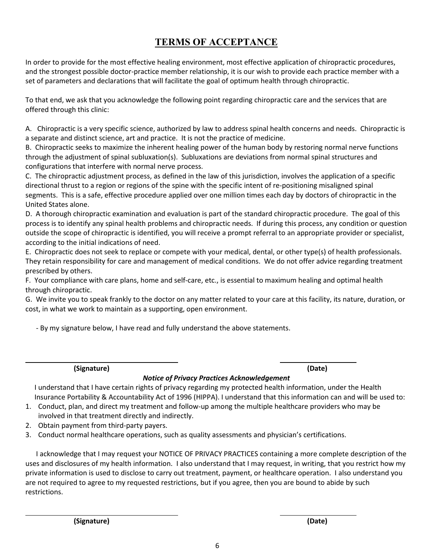# **TERMS OF ACCEPTANCE**

In order to provide for the most effective healing environment, most effective application of chiropractic procedures, and the strongest possible doctor-practice member relationship, it is our wish to provide each practice member with a set of parameters and declarations that will facilitate the goal of optimum health through chiropractic.

To that end, we ask that you acknowledge the following point regarding chiropractic care and the services that are offered through this clinic:

A. Chiropractic is a very specific science, authorized by law to address spinal health concerns and needs. Chiropractic is a separate and distinct science, art and practice. It is not the practice of medicine.

B. Chiropractic seeks to maximize the inherent healing power of the human body by restoring normal nerve functions through the adjustment of spinal subluxation(s). Subluxations are deviations from normal spinal structures and configurations that interfere with normal nerve process.

C. The chiropractic adjustment process, as defined in the law of this jurisdiction, involves the application of a specific directional thrust to a region or regions of the spine with the specific intent of re-positioning misaligned spinal segments. This is a safe, effective procedure applied over one million times each day by doctors of chiropractic in the United States alone.

D. A thorough chiropractic examination and evaluation is part of the standard chiropractic procedure. The goal of this process is to identify any spinal health problems and chiropractic needs. If during this process, any condition or question outside the scope of chiropractic is identified, you will receive a prompt referral to an appropriate provider or specialist, according to the initial indications of need.

E. Chiropractic does not seek to replace or compete with your medical, dental, or other type(s) of health professionals. They retain responsibility for care and management of medical conditions. We do not offer advice regarding treatment prescribed by others.

F. Your compliance with care plans, home and self-care, etc., is essential to maximum healing and optimal health through chiropractic.

G. We invite you to speak frankly to the doctor on any matter related to your care at this facility, its nature, duration, or cost, in what we work to maintain as a supporting, open environment.

- By my signature below, I have read and fully understand the above statements.

**(Signature) (Date)**

### *Notice of Privacy Practices Acknowledgement*

I understand that I have certain rights of privacy regarding my protected health information, under the Health Insurance Portability & Accountability Act of 1996 (HIPPA). I understand that this information can and will be used to:

- 1. Conduct, plan, and direct my treatment and follow-up among the multiple healthcare providers who may be involved in that treatment directly and indirectly.
- 2. Obtain payment from third-party payers.
- 3. Conduct normal healthcare operations, such as quality assessments and physician's certifications.

 I acknowledge that I may request your NOTICE OF PRIVACY PRACTICES containing a more complete description of the uses and disclosures of my health information. I also understand that I may request, in writing, that you restrict how my private information is used to disclose to carry out treatment, payment, or healthcare operation. I also understand you are not required to agree to my requested restrictions, but if you agree, then you are bound to abide by such restrictions.